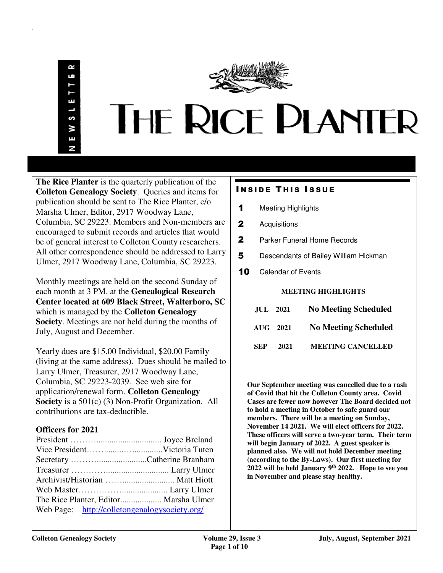ЦÎ S W Ŧ N

.



**The Rice Planter** is the quarterly publication of the **Colleton Genealogy Society**. Queries and items for publication should be sent to The Rice Planter, c/o Marsha Ulmer, Editor, 2917 Woodway Lane, Columbia, SC 29223. Members and Non-members are encouraged to submit records and articles that would be of general interest to Colleton County researchers. All other correspondence should be addressed to Larry Ulmer, 2917 Woodway Lane, Columbia, SC 29223.

Monthly meetings are held on the second Sunday of each month at 3 PM. at the **Genealogical Research Center located at 609 Black Street, Walterboro, SC**  which is managed by the **Colleton Genealogy Society**. Meetings are not held during the months of July, August and December.

Yearly dues are \$15.00 Individual, \$20.00 Family (living at the same address). Dues should be mailed to Larry Ulmer, Treasurer, 2917 Woodway Lane, Columbia, SC 29223-2039. See web site for application/renewal form. **Colleton Genealogy Society** is a 501(c) (3) Non-Profit Organization. All contributions are tax-deductible.

# **Officers for 2021**

| Web Page: http://colletongenalogysociety.org/ |  |
|-----------------------------------------------|--|

# **INSIDE THIS ISSUE**

- 1 Meeting Highlights
- 2 Acquisitions
- 2 Parker Funeral Home Records
- 5 Descendants of Bailey William Hickman
- **10** Calendar of Events

# **MEETING HIGHLIGHTS**

| <b>No Meeting Scheduled</b> |             | <b>JUL</b> 2021 |
|-----------------------------|-------------|-----------------|
| <b>No Meeting Scheduled</b> | $AIIG$ 2021 |                 |
| <b>MEETING CANCELLED</b>    | 2021        | SEP             |

**Our September meeting was cancelled due to a rash of Covid that hit the Colleton County area. Covid Cases are fewer now however The Board decided not to hold a meeting in October to safe guard our members. There will be a meeting on Sunday, November 14 2021. We will elect officers for 2022. These officers will serve a two-year term. Their term will begin January of 2022. A guest speaker is planned also. We will not hold December meeting (according to the By-Laws). Our first meeting for 2022 will be held January 9th 2022. Hope to see you in November and please stay healthy.**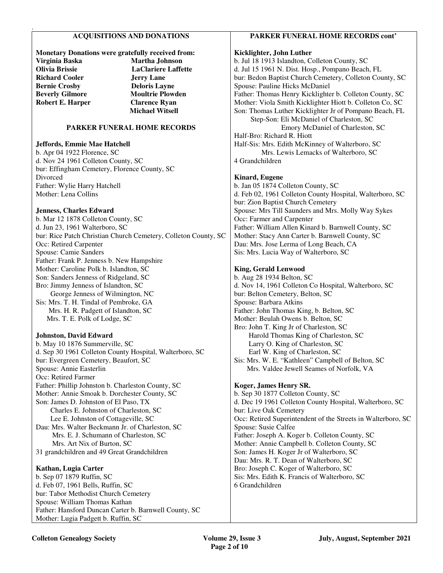# **ACQUISITIONS AND DONATIONS**

### **Monetary Donations were gratefully received from: Virginia Baska Martha Johnson Olivia Brissie LaClariere Laffette Richard Cooler Bernie Crosby Deloris Layne Beverly Gilmore Moultrie Plowden Robert E. Harper Clarence Ryan Michael Witsell**

# **PARKER FUNERAL HOME RECORDS**

# **Jeffords, Emmie Mae Hatchell**

.

b. Apr 04 1922 Florence, SC d. Nov 24 1961 Colleton County, SC bur: Effingham Cemetery, Florence County, SC Divorced Father: Wylie Harry Hatchell Mother: Lena Collins

# **Jenness, Charles Edward**

b. Mar 12 1878 Colleton County, SC d. Jun 23, 1961 Walterboro, SC bur: Rice Patch Christian Church Cemetery, Colleton County, SC Occ: Retired Carpenter Spouse: Camie Sanders Father: Frank P. Jenness b. New Hampshire Mother: Caroline Polk b. Islandton, SC Son: Sanders Jenness of Ridgeland, SC Bro: Jimmy Jenness of Islandton, SC George Jenness of Wilmington, NC Sis: Mrs. T. H. Tindal of Pembroke, GA Mrs. H. R. Padgett of Islandton, SC Mrs. T. E. Polk of Lodge, SC

# **Johnston, David Edward**

b. May 10 1876 Summerville, SC d. Sep 30 1961 Colleton County Hospital, Walterboro, SC bur: Evergreen Cemetery, Beaufort, SC Spouse: Annie Easterlin Occ: Retired Farmer Father: Phillip Johnston b. Charleston County, SC Mother: Annie Smoak b. Dorchester County, SC Son: James D. Johnston of El Paso, TX Charles E. Johnston of Charleston, SC Lee E. Johnston of Cottageville, SC Dau: Mrs. Walter Beckmann Jr. of Charleston, SC Mrs. E. J. Schumann of Charleston, SC Mrs. Art Nix of Burton, SC 31 grandchildren and 49 Great Grandchildren

#### **Kathan, Lugia Carter**

b. Sep 07 1879 Ruffin, SC d. Feb 07, 1961 Bells, Ruffin, SC bur: Tabor Methodist Church Cemetery Spouse: William Thomas Kathan Father: Hansford Duncan Carter b. Barnwell County, SC Mother: Lugia Padgett b. Ruffin, SC

# **PARKER FUNERAL HOME RECORDS cont'**

# **Kicklighter, John Luther**

b. Jul 18 1913 Islandton, Colleton County, SC d. Jul 15 1961 N. Dist. Hosp., Pompano Beach, FL bur: Bedon Baptist Church Cemetery, Colleton County, SC Spouse: Pauline Hicks McDaniel Father: Thomas Henry Kicklighter b. Colleton County, SC Mother: Viola Smith Kicklighter Hiott b. Colleton Co, SC Son: Thomas Luther Kicklighter Jr of Pompano Beach, FL Step-Son: Eli McDaniel of Charleston, SC Emory McDaniel of Charleston, SC Half-Bro: Richard R. Hiott Half-Sis: Mrs. Edith McKinney of Walterboro, SC Mrs. Lewis Lemacks of Walterboro, SC 4 Grandchildren

### **Kinard, Eugene**

b. Jan 05 1874 Colleton County, SC d. Feb 02, 1961 Colleton County Hospital, Walterboro, SC bur: Zion Baptist Church Cemetery Spouse: Mrs Till Saunders and Mrs. Molly Way Sykes Occ: Farmer and Carpenter Father: William Allen Kinard b. Barnwell County, SC Mother: Stacy Ann Carter b. Barnwell County, SC Dau: Mrs. Jose Lerma of Long Beach, CA Sis: Mrs. Lucia Way of Walterboro, SC

### **King, Gerald Lenwood**

b. Aug 28 1934 Belton, SC d. Nov 14, 1961 Colleton Co Hospital, Walterboro, SC bur: Belton Cemetery, Belton, SC Spouse: Barbara Atkins Father: John Thomas King, b. Belton, SC Mother: Beulah Owens b. Belton, SC Bro: John T. King Jr of Charleston, SC Harold Thomas King of Charleston, SC Larry O. King of Charleston, SC Earl W. King of Charleston, SC Sis: Mrs. W. E. "Kathleen" Campbell of Belton, SC Mrs. Valdee Jewell Seames of Norfolk, VA

# **Koger, James Henry SR.**

b. Sep 30 1877 Colleton County, SC d. Dec 19 1961 Colleton County Hospital, Walterboro, SC bur: Live Oak Cemetery Occ: Retired Superintendent of the Streets in Walterboro, SC Spouse: Susie Calfee Father: Joseph A. Koger b. Colleton County, SC Mother: Annie Campbell b. Colleton County, SC Son: James H. Koger Jr of Walterboro, SC Dau: Mrs. R. T. Dean of Walterboro, SC Bro: Joseph C. Koger of Walterboro, SC Sis: Mrs. Edith K. Francis of Walterboro, SC 6 Grandchildren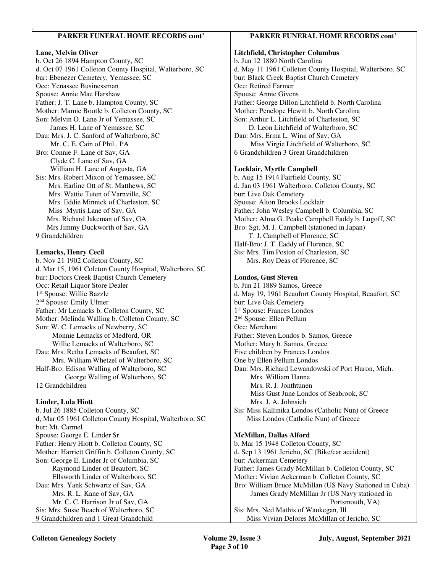# **PARKER FUNERAL HOME RECORDS cont'**

# **Lane, Melvin Oliver**

.

b. Oct 26 1894 Hampton County, SC d. Oct 07 1961 Colleton County Hospital, Walterboro, SC bur: Ebenezer Cemetery, Yemassee, SC Occ: Yenassee Businessman Spouse: Annie Mae Harshaw Father: J. T. Lane b. Hampton County, SC Mother: Mamie Bootle b. Colleton County, SC Son: Melvin O. Lane Jr of Yemassee, SC James H. Lane of Yemassee, SC Dau: Mrs. J. C. Sanford of Walterboro, SC Mr. C. E. Cain of Phil., PA Bro: Connie F. Lane of Sav, GA Clyde C. Lane of Sav, GA William H. Lane of Augusta, GA Sis: Mrs. Robert Mixon of Yemassee, SC Mrs. Earline Ott of St. Matthews, SC Mrs. Wattie Tuten of Varnville, SC Mrs. Eddie Minnick of Charleston, SC Miss Myrtis Lane of Sav, GA Mrs. Richard Jakeman of Sav, GA Mrs Jimmy Duckworth of Sav, GA 9 Grandchildren **Lemacks, Henry Cecil**  b. Nov 21 1902 Colleton County, SC d. Mar 15, 1961 Coleton County Hospital, Walterboro, SC bur: Doctors Creek Baptist Church Cemetery Occ: Retail Liquor Store Dealer 1 st Spouse: Willie Bazzle 2<sup>nd</sup> Spouse: Emily Ulmer Father: Mr Lemacks b. Colleton County, SC Mother: Melinda Walling b. Colleton County, SC Son: W. C. Lemacks of Newberry, SC Monnie Lemacks of Medford, OR Willie Lemacks of Walterboro, SC Dau: Mrs. Retha Lemacks of Beaufort, SC

 Mrs. William Whetzel of Walterboro, SC Half-Bro: Edison Walling of Walterboro, SC George Walling of Walterboro, SC 12 Grandchildren

# **Linder, Lula Hiott**

b. Jul 26 1885 Colleton County, SC d, Mar 05 1961 Colleton County Hospital, Walterboro, SC bur: Mt. Carmel Spouse: George E. Linder Sr Father: Henry Hiott b. Colleton County, SC Mother: Harriett Griffin b. Colleton County, SC Son: George E. Linder Jr of Columbia, SC Raymond Linder of Beaufort, SC Ellsworth Linder of Walterboro, SC Dau: Mrs. Yank Schwartz of Sav, GA Mrs. R. L. Kane of Sav, GA Mr. C. C. Harrison Jr of Sav, GA Sis: Mrs. Susie Beach of Walterboro, SC 9 Grandchildren and 1 Great Grandchild

# **PARKER FUNERAL HOME RECORDS cont'**

# **Litchfield, Christopher Columbus**  b. Jun 12 1880 North Carolina d. May 11 1961 Colleton County Hospital, Walterboro, SC bur: Black Creek Baptist Church Cemetery

Occ: Retired Farmer Spouse: Annie Givens Father: George Dillon Litchfield b. North Carolina Mother: Penelope Hewitt b. North Carolina Son: Arthur L. Litchfield of Charleston, SC D. Leon Litchfield of Walterboro, SC Dau: Mrs. Erma L. Winn of Sav, GA Miss Virgie Litchfield of Walterboro, SC 6 Grandchildren 3 Great Grandchildren **Locklair, Myrtle Campbell**  b. Aug 15 1914 Fairfield County, SC d. Jan 03 1961 Walterboro, Colleton County, SC bur: Live Oak Cemetery Spouse: Alton Brooks Locklair Father: John Wesley Campbell b. Columbia, SC Mother: Alma G. Peake Campbell Eaddy b. Lugoff, SC

Bro: Sgt. M. J. Campbell (stationed in Japan) T. J. Campbell of Florence, SC Half-Bro: J. T. Eaddy of Florence, SC Sis: Mrs. Tim Poston of Charleston, SC

Mrs. Roy Deas of Florence, SC

### **Londos, Gust Steven**

b. Jun 21 1889 Samos, Greece d. May 19, 1961 Beaufort County Hospital, Beaufort, SC bur: Live Oak Cemetery 1 st Spouse: Frances Londos 2 nd Spouse: Ellen Pellum Occ: Merchant Father: Steven Londos b. Samos, Greece Mother: Mary b. Samos, Greece Five children by Frances Londos One by Ellen Pellum Londos Dau: Mrs. Richard Lewandowski of Port Huron, Mich. Mrs. William Hanna Mrs. R. J. Jonthtunen Miss Gust June Londos of Seabrook, SC Mrs. J. A. Johnsich Sis: Miss Kallinika Londos (Catholic Nun) of Greece Miss Londos (Catholic Nun) of Greece

# **McMillan, Dallas Alford**

b. Mar 15 1948 Colleton County, SC d. Sep 13 1961 Jericho, SC (Bike/car accident) bur: Ackerman Cemetery Father: James Grady McMillan b. Colleton County, SC Mother: Vivian Ackerman b. Colleton County, SC Bro: William Bruce McMillan (US Navy Stationed in Cuba) James Grady McMillan Jr (US Navy stationed in Portsmouth, VA) Sis: Mrs. Ned Mathis of Waukegan, Ill Miss Vivian Delores McMillan of Jericho, SC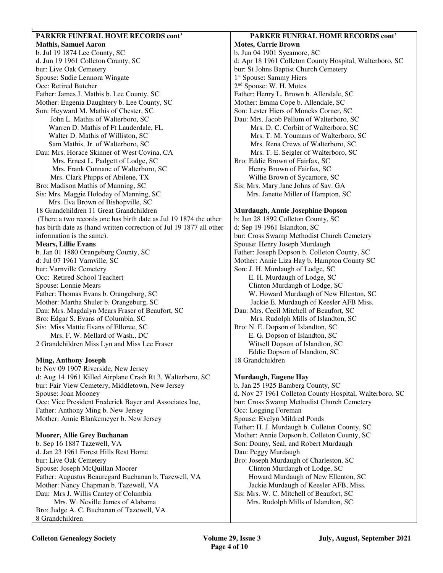# **PARKER FUNERAL HOME RECORDS cont'**

.

**Mathis, Samuel Aaron**  b. Jul 19 1874 Lee County, SC d. Jun 19 1961 Colleton County, SC bur: Live Oak Cemetery Spouse: Sudie Lennora Wingate Occ: Retired Butcher Father: James J. Mathis b. Lee County, SC Mother: Eugenia Daughtery b. Lee County, SC Son: Heyward M. Mathis of Chester, SC John L. Mathis of Walterboro, SC Warren D. Mathis of Ft Lauderdale, FL Walter D. Mathis of Williston, SC Sam Mathis, Jr. of Walterboro, SC Dau: Mrs. Horace Skinner of West Covina, CA Mrs. Ernest L. Padgett of Lodge, SC Mrs. Frank Cunnane of Walterboro, SC Mrs. Clark Phipps of Abilene, TX Bro: Madison Mathis of Manning, SC Sis: Mrs. Maggie Holoday of Manning, SC Mrs. Eva Brown of Bishopville, SC 18 Grandchildren 11 Great Grandchildren (There a two records one has birth date as Jul 19 1874 the other has birth date as (hand written correction of Jul 19 1877 all other information is the same). **Mears, Lillie Evans**  b. Jan 01 1880 Orangeburg County, SC d: Jul 07 1961 Varnville, SC bur: Varnville Cemetery Occ: Retired School Teachert Spouse: Lonnie Mears Father: Thomas Evans b. Orangeburg, SC Mother: Martha Shuler b. Orangeburg, SC Dau: Mrs. Magdalyn Mears Fraser of Beaufort, SC Bro: Edgar S. Evans of Columbia, SC Sis: Miss Mattie Evans of Elloree, SC Mrs. F. W. Mellard of Wash., DC 2 Grandchildren Miss Lyn and Miss Lee Fraser

# **Ming, Anthony Joseph**

b**:** Nov 09 1907 Riverside, New Jersey d: Aug 14 1961 Killed Airplane Crash Rt 3, Walterboro, SC bur: Fair View Cemetery, Middletown, New Jersey Spouse: Joan Mooney Occ: Vice President Frederick Bayer and Associates Inc, Father: Anthony Ming b. New Jersey Mother: Annie Blankemeyer b. New Jersey

# **Moorer, Allie Grey Buchanan**

b. Sep 16 1887 Tazewell, VA d. Jan 23 1961 Forest Hills Rest Home bur: Live Oak Cemetery Spouse: Joseph McQuillan Moorer Father: Augustus Beauregard Buchanan b. Tazewell, VA Mother: Nancy Chapman b. Tazewell, VA Dau: Mrs J. Willis Cantey of Columbia Mrs. W. Neville James of Alabama Bro: Judge A. C. Buchanan of Tazewell, VA 8 Grandchildren

# **PARKER FUNERAL HOME RECORDS cont'**

**Motes, Carrie Brown**  b. Jun 04 1901 Sycamore, SC d: Apr 18 1961 Colleton County Hospital, Walterboro, SC bur: St Johns Baptist Church Cemetery 1 st Spouse: Sammy Hiers 2 nd Spouse: W. H. Motes Father: Henry L. Brown b. Allendale, SC Mother: Emma Cope b. Allendale, SC Son: Lester Hiers of Moncks Corner, SC Dau: Mrs. Jacob Pellum of Walterboro, SC Mrs. D. C. Corbitt of Walterboro, SC Mrs. T. M. Youmans of Walterboro, SC Mrs. Rena Crews of Walterboro, SC Mrs. T. E. Seigler of Walterboro, SC Bro: Eddie Brown of Fairfax, SC Henry Brown of Fairfax, SC Willie Brown of Sycamore, SC Sis: Mrs. Mary Jane Johns of Sav. GA Mrs. Janette Miller of Hampton, SC

# **Murdaugh, Annie Josephine Dopson**

b: Jun 28 1892 Colleton County, SC d: Sep 19 1961 Islandton, SC bur: Cross Swamp Methodist Church Cemetery Spouse: Henry Joseph Murdaugh Father: Joseph Dopson b. Colleton County, SC Mother: Annie Liza Hay b. Hampton County SC Son: J. H. Murdaugh of Lodge, SC E. H. Murdaugh of Lodge, SC Clinton Murdaugh of Lodge, SC W. Howard Murdaugh of New Ellenton, SC Jackie E. Murdaugh of Keesler AFB Miss. Dau: Mrs. Cecil Mitchell of Beaufort, SC Mrs. Rudolph Mills of Islandton, SC Bro: N. E. Dopson of Islandton, SC E. G. Dopson of Islandton, SC Witsell Dopson of Islandton, SC Eddie Dopson of Islandton, SC 18 Grandchildren

# **Murdaugh, Eugene Hay**

b. Jan 25 1925 Bamberg County, SC d. Nov 27 1961 Colleton County Hospital, Walterboro, SC bur: Cross Swamp Methodist Church Cemetery Occ: Logging Foreman Spouse: Evelyn Mildred Ponds Father: H. J. Murdaugh b. Colleton County, SC Mother: Annie Dopson b. Colleton County, SC Son: Donny, Seal, and Robert Murdaugh Dau: Peggy Murdaugh Bro: Joseph Murdaugh of Charleston, SC Clinton Murdaugh of Lodge, SC Howard Murdaugh of New Ellenton, SC Jackie Murdaugh of Keesler AFB, Miss. Sis: Mrs. W. C. Mitchell of Beaufort, SC Mrs. Rudolph Mills of Islandton, SC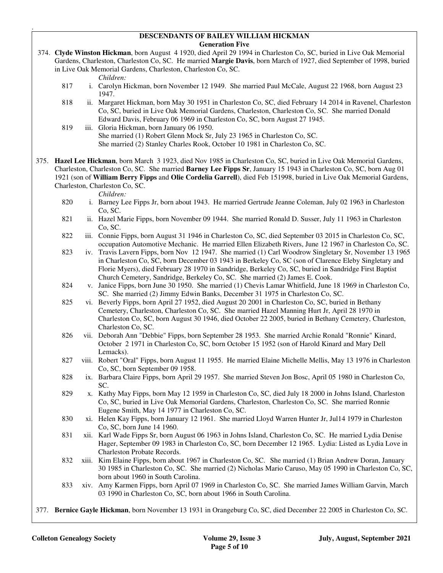#### **DESCENDANTS OF BAILEY WILLIAM HICKMAN Generation Five**

 374. **Clyde Winston Hickman**, born August 4 1920, died April 29 1994 in Charleston Co, SC, buried in Live Oak Memorial Gardens, Charleston, Charleston Co, SC. He married **Margie Davis**, born March of 1927, died September of 1998, buried in Live Oak Memorial Gardens, Charleston, Charleston Co, SC.

*Children:*

.

- 817 i. Carolyn Hickman, born November 12 1949. She married Paul McCale, August 22 1968, born August 23 1947.
- 818 ii. Margaret Hickman, born May 30 1951 in Charleston Co, SC, died February 14 2014 in Ravenel, Charleston Co, SC, buried in Live Oak Memorial Gardens, Charleston, Charleston Co, SC. She married Donald Edward Davis, February 06 1969 in Charleston Co, SC, born August 27 1945.
- 819 iii. Gloria Hickman, born January 06 1950. She married (1) Robert Glenn Mock Sr, July 23 1965 in Charleston Co, SC. She married (2) Stanley Charles Rook, October 10 1981 in Charleston Co, SC.

375. **Hazel Lee Hickman**, born March 3 1923, died Nov 1985 in Charleston Co, SC, buried in Live Oak Memorial Gardens, Charleston, Charleston Co, SC. She married **Barney Lee Fipps Sr**, January 15 1943 in Charleston Co, SC, born Aug 01 1921 (son of **William Berry Fipps** and **Olie Cordelia Garrell**), died Feb 151998, buried in Live Oak Memorial Gardens, Charleston, Charleston Co, SC.

- *Children:*<br>820 *i.* Barney Le i. Barney Lee Fipps Jr, born about 1943. He married Gertrude Jeanne Coleman, July 02 1963 in Charleston Co, SC.
- 821 ii. Hazel Marie Fipps, born November 09 1944. She married Ronald D. Susser, July 11 1963 in Charleston Co, SC.
- 822 iii. Connie Fipps, born August 31 1946 in Charleston Co, SC, died September 03 2015 in Charleston Co, SC, occupation Automotive Mechanic. He married Ellen Elizabeth Rivers, June 12 1967 in Charleston Co, SC.
- 823 iv. Travis Lavern Fipps, born Nov 12 1947. She married (1) Carl Woodrow Singletary Sr, November 13 1965 in Charleston Co, SC, born December 03 1943 in Berkeley Co, SC (son of Clarence Eleby Singletary and Florie Myers), died February 28 1970 in Sandridge, Berkeley Co, SC, buried in Sandridge First Baptist Church Cemetery, Sandridge, Berkeley Co, SC. She married (2) James E. Cook.
- 824 v. Janice Fipps, born June 30 1950. She married (1) Chevis Lamar Whitfield, June 18 1969 in Charleston Co, SC. She married (2) Jimmy Edwin Banks, December 31 1975 in Charleston Co, SC.
- 825 vi. Beverly Fipps, born April 27 1952, died August 20 2001 in Charleston Co, SC, buried in Bethany Cemetery, Charleston, Charleston Co, SC. She married Hazel Manning Hurt Jr, April 28 1970 in Charleston Co, SC, born August 30 1946, died October 22 2005, buried in Bethany Cemetery, Charleston, Charleston Co, SC.
- 826 vii. Deborah Ann "Debbie" Fipps, born September 28 1953. She married Archie Ronald "Ronnie" Kinard, October 2 1971 in Charleston Co, SC, born October 15 1952 (son of Harold Kinard and Mary Dell Lemacks).
- 827 viii. Robert "Oral" Fipps, born August 11 1955. He married Elaine Michelle Mellis, May 13 1976 in Charleston Co, SC, born September 09 1958.
- 828 ix. Barbara Claire Fipps, born April 29 1957. She married Steven Jon Bosc, April 05 1980 in Charleston Co, SC.
- 829 x. Kathy May Fipps, born May 12 1959 in Charleston Co, SC, died July 18 2000 in Johns Island, Charleston Co, SC, buried in Live Oak Memorial Gardens, Charleston, Charleston Co, SC. She married Ronnie Eugene Smith, May 14 1977 in Charleston Co, SC.
- 830 xi. Helen Kay Fipps, born January 12 1961. She married Lloyd Warren Hunter Jr, Jul14 1979 in Charleston Co, SC, born June 14 1960.
- 831 xii. Karl Wade Fipps Sr, born August 06 1963 in Johns Island, Charleston Co, SC. He married Lydia Denise Hager, September 09 1983 in Charleston Co, SC, born December 12 1965. Lydia: Listed as Lydia Love in Charleston Probate Records.
- 832 xiii. Kim Elaine Fipps, born about 1967 in Charleston Co, SC. She married (1) Brian Andrew Doran, January 30 1985 in Charleston Co, SC. She married (2) Nicholas Mario Caruso, May 05 1990 in Charleston Co, SC, born about 1960 in South Carolina.
- 833 xiv. Amy Karmen Fipps, born April 07 1969 in Charleston Co, SC. She married James William Garvin, March 03 1990 in Charleston Co, SC, born about 1966 in South Carolina.
- 377. **Bernice Gayle Hickman**, born November 13 1931 in Orangeburg Co, SC, died December 22 2005 in Charleston Co, SC.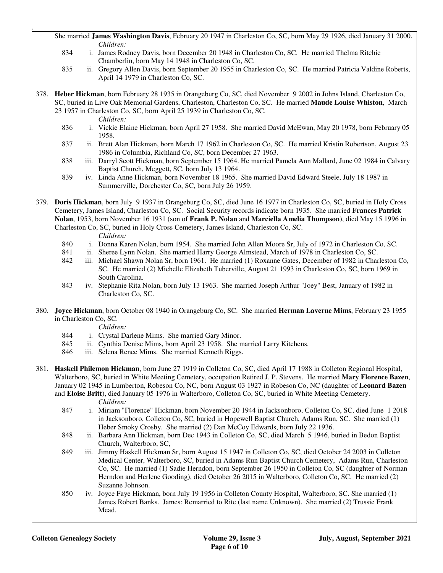She married **James Washington Davis**, February 20 1947 in Charleston Co, SC, born May 29 1926, died January 31 2000. *Children:*<br>834 i James Ro

- i. James Rodney Davis, born December 20 1948 in Charleston Co, SC. He married Thelma Ritchie Chamberlin, born May 14 1948 in Charleston Co, SC.
- 835 ii. Gregory Allen Davis, born September 20 1955 in Charleston Co, SC. He married Patricia Valdine Roberts, April 14 1979 in Charleston Co, SC.
- 378. **Heber Hickman**, born February 28 1935 in Orangeburg Co, SC, died November 9 2002 in Johns Island, Charleston Co, SC, buried in Live Oak Memorial Gardens, Charleston, Charleston Co, SC. He married **Maude Louise Whiston**, March 23 1957 in Charleston Co, SC, born April 25 1939 in Charleston Co, SC.

.

- *Children:*<br>836 **i** Vickie Ela 836 i. Vickie Elaine Hickman, born April 27 1958. She married David McEwan, May 20 1978, born February 05 1958.
- 837 ii. Brett Alan Hickman, born March 17 1962 in Charleston Co, SC. He married Kristin Robertson, August 23 1986 in Columbia, Richland Co, SC, born December 27 1963.
- 838 iii. Darryl Scott Hickman, born September 15 1964. He married Pamela Ann Mallard, June 02 1984 in Calvary Baptist Church, Meggett, SC, born July 13 1964.
- 839 iv. Linda Anne Hickman, born November 18 1965. She married David Edward Steele, July 18 1987 in Summerville, Dorchester Co, SC, born July 26 1959.

379. **Doris Hickman**, born July 9 1937 in Orangeburg Co, SC, died June 16 1977 in Charleston Co, SC, buried in Holy Cross Cemetery, James Island, Charleston Co, SC. Social Security records indicate born 1935. She married **Frances Patrick Nolan**, 1953, born November 16 1931 (son of **Frank P. Nolan** and **Marciella Amelia Thompson**), died May 15 1996 in Charleston Co, SC, buried in Holy Cross Cemetery, James Island, Charleston Co, SC.

*Children:*

- 840 i. Donna Karen Nolan, born 1954. She married John Allen Moore Sr, July of 1972 in Charleston Co, SC.
- 841 ii. Sheree Lynn Nolan. She married Harry George Almstead, March of 1978 in Charleston Co, SC.
- 842 iii. Michael Shawn Nolan Sr, born 1961. He married (1) Roxanne Gates, December of 1982 in Charleston Co, SC. He married (2) Michelle Elizabeth Tuberville, August 21 1993 in Charleston Co, SC, born 1969 in South Carolina.
- 843 iv. Stephanie Rita Nolan, born July 13 1963. She married Joseph Arthur "Joey" Best, January of 1982 in Charleston Co, SC.
- 380. **Joyce Hickman**, born October 08 1940 in Orangeburg Co, SC. She married **Herman Laverne Mims**, February 23 1955 in Charleston Co, SC.

*Children:*

- 844 i. Crystal Darlene Mims. She married Gary Minor.
- 845 ii. Cynthia Denise Mims, born April 23 1958. She married Larry Kitchens.
- 846 iii. Selena Renee Mims. She married Kenneth Riggs.
- 381. **Haskell Philemon Hickman**, born June 27 1919 in Colleton Co, SC, died April 17 1988 in Colleton Regional Hospital, Walterboro, SC, buried in White Meeting Cemetery, occupation Retired J. P. Stevens. He married **Mary Florence Bazen**, January 02 1945 in Lumberton, Robeson Co, NC, born August 03 1927 in Robeson Co, NC (daughter of **Leonard Bazen** and **Eloise Britt**), died January 05 1976 in Walterboro, Colleton Co, SC, buried in White Meeting Cemetery. *Children:*
	- 847 i. Miriam "Florence" Hickman, born November 20 1944 in Jacksonboro, Colleton Co, SC, died June 1 2018 in Jacksonboro, Colleton Co, SC, buried in Hopewell Baptist Church, Adams Run, SC. She married (1) Heber Smoky Crosby. She married (2) Dan McCoy Edwards, born July 22 1936.
	- 848 ii. Barbara Ann Hickman, born Dec 1943 in Colleton Co, SC, died March 5 1946, buried in Bedon Baptist Church, Walterboro, SC,
	- 849 iii. Jimmy Haskell Hickman Sr, born August 15 1947 in Colleton Co, SC, died October 24 2003 in Colleton Medical Center, Walterboro, SC, buried in Adams Run Baptist Church Cemetery, Adams Run, Charleston Co, SC. He married (1) Sadie Herndon, born September 26 1950 in Colleton Co, SC (daughter of Norman Herndon and Herlene Gooding), died October 26 2015 in Walterboro, Colleton Co, SC. He married (2) Suzanne Johnson.
	- 850 iv. Joyce Faye Hickman, born July 19 1956 in Colleton County Hospital, Walterboro, SC. She married (1) James Robert Banks. James: Remarried to Rite (last name Unknown). She married (2) Trussie Frank Mead.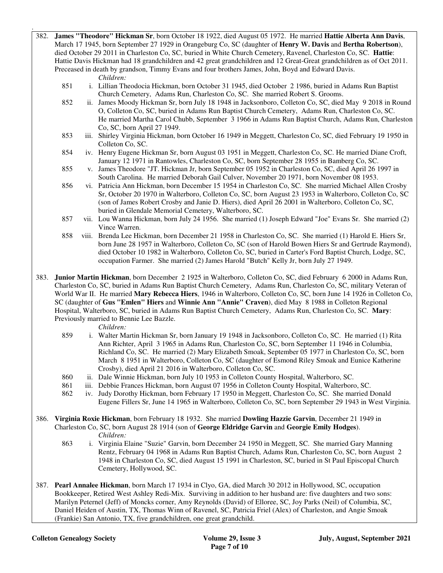- 382. **James "Theodore" Hickman Sr**, born October 18 1922, died August 05 1972. He married **Hattie Alberta Ann Davis**, March 17 1945, born September 27 1929 in Orangeburg Co, SC (daughter of **Henry W. Davis** and **Bertha Robertson**), died October 29 2011 in Charleston Co, SC, buried in White Church Cemetery, Ravenel, Charleston Co, SC. **Hattie**: Hattie Davis Hickman had 18 grandchildren and 42 great grandchildren and 12 Great-Great grandchildren as of Oct 2011. Preceased in death by grandson, Timmy Evans and four brothers James, John, Boyd and Edward Davis.
	- *Children:*

.

- 851 i. Lillian Theodocia Hickman, born October 31 1945, died October 2 1986, buried in Adams Run Baptist Church Cemetery, Adams Run, Charleston Co, SC. She married Robert S. Grooms.
- 852 ii. James Moody Hickman Sr, born July 18 1948 in Jacksonboro, Colleton Co, SC, died May 9 2018 in Round O, Colleton Co, SC, buried in Adams Run Baptist Church Cemetery, Adams Run, Charleston Co, SC. He married Martha Carol Chubb, September 3 1966 in Adams Run Baptist Church, Adams Run, Charleston Co, SC, born April 27 1949.
- 853 iii. Shirley Virginia Hickman, born October 16 1949 in Meggett, Charleston Co, SC, died February 19 1950 in Colleton Co, SC.
- 854 iv. Henry Eugene Hickman Sr, born August 03 1951 in Meggett, Charleston Co, SC. He married Diane Croft, January 12 1971 in Rantowles, Charleston Co, SC, born September 28 1955 in Bamberg Co, SC.
- 855 v. James Theodore "JT. Hickman Jr, born September 05 1952 in Charleston Co, SC, died April 26 1997 in South Carolina. He married Deborah Gail Culver, November 20 1971, born November 08 1953.
- 856 vi. Patricia Ann Hickman, born December 15 1954 in Charleston Co, SC. She married Michael Allen Crosby Sr, October 20 1970 in Walterboro, Colleton Co, SC, born August 23 1953 in Walterboro, Colleton Co, SC (son of James Robert Crosby and Janie D. Hiers), died April 26 2001 in Walterboro, Colleton Co, SC, buried in Glendale Memorial Cemetery, Walterboro, SC.
- 857 vii. Lou Wanna Hickman, born July 24 1956. She married (1) Joseph Edward "Joe" Evans Sr. She married (2) Vince Warren.
- 858 viii. Brenda Lee Hickman, born December 21 1958 in Charleston Co, SC. She married (1) Harold E. Hiers Sr, born June 28 1957 in Walterboro, Colleton Co, SC (son of Harold Bowen Hiers Sr and Gertrude Raymond), died October 10 1982 in Walterboro, Colleton Co, SC, buried in Carter's Ford Baptist Church, Lodge, SC, occupation Farmer. She married (2) James Harold "Butch" Kelly Jr, born July 27 1949.
- 383. **Junior Martin Hickman**, born December 2 1925 in Walterboro, Colleton Co, SC, died February 6 2000 in Adams Run, Charleston Co, SC, buried in Adams Run Baptist Church Cemetery, Adams Run, Charleston Co, SC, military Veteran of World War II. He married **Mary Rebecca Hiers**, 1946 in Walterboro, Colleton Co, SC, born June 14 1926 in Colleton Co, SC (daughter of **Gus "Emlen" Hiers** and **Winnie Ann "Annie" Craven**), died May 8 1988 in Colleton Regional Hospital, Walterboro, SC, buried in Adams Run Baptist Church Cemetery, Adams Run, Charleston Co, SC. **Mary**: Previously married to Bennie Lee Bazzle.
	- *Children:*
	- 859 i. Walter Martin Hickman Sr, born January 19 1948 in Jacksonboro, Colleton Co, SC. He married (1) Rita Ann Richter, April 3 1965 in Adams Run, Charleston Co, SC, born September 11 1946 in Columbia, Richland Co, SC. He married (2) Mary Elizabeth Smoak, September 05 1977 in Charleston Co, SC, born March 8 1951 in Walterboro, Colleton Co, SC (daughter of Esmond Riley Smoak and Eunice Katherine Crosby), died April 21 2016 in Walterboro, Colleton Co, SC.
	- 860 ii. Dale Winnie Hickman, born July 10 1953 in Colleton County Hospital, Walterboro, SC.
	- 861 iii. Debbie Frances Hickman, born August 07 1956 in Colleton County Hospital, Walterboro, SC.
	- 862 iv. Judy Dorothy Hickman, born February 17 1950 in Meggett, Charleston Co, SC. She married Donald Eugene Fillers Sr, June 14 1965 in Walterboro, Colleton Co, SC, born September 29 1943 in West Virginia.
- 386. **Virginia Roxie Hickman**, born February 18 1932. She married **Dowling Hazzie Garvin**, December 21 1949 in Charleston Co, SC, born August 28 1914 (son of **George Eldridge Garvin** and **Georgie Emily Hodges**). *Children:*
	- 863 i. Virginia Elaine "Suzie" Garvin, born December 24 1950 in Meggett, SC. She married Gary Manning Rentz, February 04 1968 in Adams Run Baptist Church, Adams Run, Charleston Co, SC, born August 2 1948 in Charleston Co, SC, died August 15 1991 in Charleston, SC, buried in St Paul Episcopal Church Cemetery, Hollywood, SC.
- 387. **Pearl Annalee Hickman**, born March 17 1934 in Clyo, GA, died March 30 2012 in Hollywood, SC, occupation Bookkeeper, Retired West Ashley Redi-Mix. Surviving in addition to her husband are: five daughters and two sons: Marilyn Peternel (Jeff) of Moncks corner, Amy Reynolds (David) of Elloree, SC, Joy Parks (Neil) of Columbia, SC, Daniel Heiden of Austin, TX, Thomas Winn of Ravenel, SC, Patricia Friel (Alex) of Charleston, and Angie Smoak (Frankie) San Antonio, TX, five grandchildren, one great grandchild.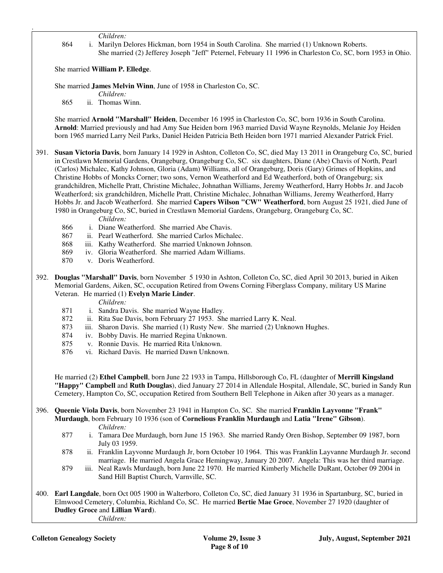*Children:*

.

 864 i. Marilyn Delores Hickman, born 1954 in South Carolina. She married (1) Unknown Roberts. She married (2) Jefferey Joseph "Jeff" Peternel, February 11 1996 in Charleston Co, SC, born 1953 in Ohio.

She married **William P. Elledge**.

She married **James Melvin Winn**, June of 1958 in Charleston Co, SC.

*Children:*

865 ii. Thomas Winn.

 She married **Arnold "Marshall" Heiden**, December 16 1995 in Charleston Co, SC, born 1936 in South Carolina. **Arnold**: Married previously and had Amy Sue Heiden born 1963 married David Wayne Reynolds, Melanie Joy Heiden born 1965 married Larry Neil Parks, Daniel Heiden Patricia Beth Heiden born 1971 married Alexander Patrick Friel.

391. **Susan Victoria Davis**, born January 14 1929 in Ashton, Colleton Co, SC, died May 13 2011 in Orangeburg Co, SC, buried in Crestlawn Memorial Gardens, Orangeburg, Orangeburg Co, SC. six daughters, Diane (Abe) Chavis of North, Pearl (Carlos) Michalec, Kathy Johnson, Gloria (Adam) Williams, all of Orangeburg, Doris (Gary) Grimes of Hopkins, and Christine Hobbs of Moncks Corner; two sons, Vernon Weatherford and Ed Weatherford, both of Orangeburg; six grandchildren, Michelle Pratt, Christine Michalec, Johnathan Williams, Jeremy Weatherford, Harry Hobbs Jr. and Jacob Weatherford; six grandchildren, Michelle Pratt, Christine Michalec, Johnathan Williams, Jeremy Weatherford, Harry Hobbs Jr. and Jacob Weatherford. She married **Capers Wilson "CW" Weatherford**, born August 25 1921, died June of 1980 in Orangeburg Co, SC, buried in Crestlawn Memorial Gardens, Orangeburg, Orangeburg Co, SC.

*Children:*

- 866 i. Diane Weatherford. She married Abe Chavis.
- 867 ii. Pearl Weatherford. She married Carlos Michalec.
- 868 iii. Kathy Weatherford. She married Unknown Johnson.
- 869 iv. Gloria Weatherford. She married Adam Williams.
- 870 v. Doris Weatherford.
- 392. **Douglas "Marshall" Davis**, born November 5 1930 in Ashton, Colleton Co, SC, died April 30 2013, buried in Aiken Memorial Gardens, Aiken, SC, occupation Retired from Owens Corning Fiberglass Company, military US Marine Veteran. He married (1) **Evelyn Marie Linder**.

*Children:*

- 871 i. Sandra Davis. She married Wayne Hadley.
- 872 ii. Rita Sue Davis, born February 27 1953. She married Larry K. Neal.
- 873 iii. Sharon Davis. She married (1) Rusty New. She married (2) Unknown Hughes.
- 874 iv. Bobby Davis. He married Regina Unknown.
- 875 v. Ronnie Davis. He married Rita Unknown.
- 876 vi. Richard Davis. He married Dawn Unknown.

 He married (2) **Ethel Campbell**, born June 22 1933 in Tampa, Hillsborough Co, FL (daughter of **Merrill Kingsland "Happy" Campbell** and **Ruth Douglas**), died January 27 2014 in Allendale Hospital, Allendale, SC, buried in Sandy Run Cemetery, Hampton Co, SC, occupation Retired from Southern Bell Telephone in Aiken after 30 years as a manager.

- 396. **Queenie Viola Davis**, born November 23 1941 in Hampton Co, SC. She married **Franklin Layvonne "Frank" Murdaugh**, born February 10 1936 (son of **Cornelious Franklin Murdaugh** and **Latia "Irene" Gibson**). *Children:*
	- 877 i. Tamara Dee Murdaugh, born June 15 1963. She married Randy Oren Bishop, September 09 1987, born July 03 1959.
	- 878 ii. Franklin Layvonne Murdaugh Jr, born October 10 1964. This was Franklin Layvanne Murdaugh Jr. second marriage. He married Angela Grace Hemingway, January 20 2007. Angela: This was her third marriage.
	- 879 iii. Neal Rawls Murdaugh, born June 22 1970. He married Kimberly Michelle DuRant, October 09 2004 in Sand Hill Baptist Church, Varnville, SC.
- 400. **Earl Langdale**, born Oct 005 1900 in Walterboro, Colleton Co, SC, died January 31 1936 in Spartanburg, SC, buried in Elmwood Cemetery, Columbia, Richland Co, SC. He married **Bertie Mae Groce**, November 27 1920 (daughter of **Dudley Groce** and **Lillian Ward**). *Children:*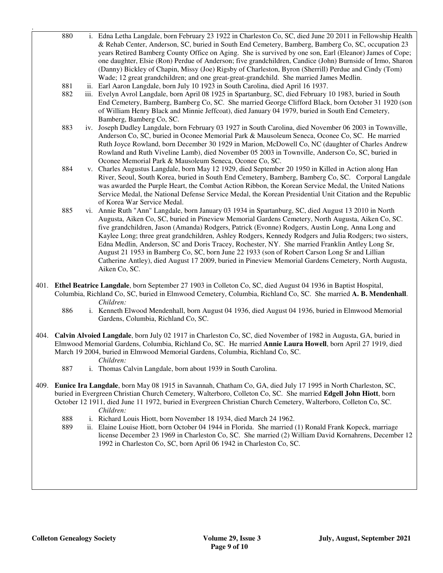| 880 | i. Edna Letha Langdale, born February 23 1922 in Charleston Co, SC, died June 20 2011 in Fellowship Health        |
|-----|-------------------------------------------------------------------------------------------------------------------|
|     | & Rehab Center, Anderson, SC, buried in South End Cemetery, Bamberg, Bamberg Co, SC, occupation 23                |
|     | years Retired Bamberg County Office on Aging. She is survived by one son, Earl (Eleanor) James of Cope;           |
|     | one daughter, Elsie (Ron) Perdue of Anderson; five grandchildren, Candice (John) Burnside of Irmo, Sharon         |
|     | (Danny) Bickley of Chapin, Missy (Joe) Rigsby of Charleston, Byron (Sherrill) Perdue and Cindy (Tom)              |
|     | Wade; 12 great grandchildren; and one great-great-grandchild. She married James Medlin.                           |
| 881 | ii. Earl Aaron Langdale, born July 10 1923 in South Carolina, died April 16 1937.                                 |
| 882 | iii. Evelyn Avrol Langdale, born April 08 1925 in Spartanburg, SC, died February 10 1983, buried in South         |
|     | End Cemetery, Bamberg, Bamberg Co, SC. She married George Clifford Black, born October 31 1920 (son               |
|     | of William Henry Black and Minnie Jeffcoat), died January 04 1979, buried in South End Cemetery,                  |
|     | Bamberg, Bamberg Co, SC.                                                                                          |
| 883 | iv. Joseph Dudley Langdale, born February 03 1927 in South Carolina, died November 06 2003 in Townville,          |
|     | Anderson Co, SC, buried in Oconee Memorial Park & Mausoleum Seneca, Oconee Co, SC. He married                     |
|     | Ruth Joyce Rowland, born December 30 1929 in Marion, McDowell Co, NC (daughter of Charles Andrew                  |
|     | Rowland and Ruth Viveline Lamb), died November 05 2003 in Townville, Anderson Co, SC, buried in                   |
|     | Oconee Memorial Park & Mausoleum Seneca, Oconee Co, SC.                                                           |
| 884 | v. Charles Augustus Langdale, born May 12 1929, died September 20 1950 in Killed in Action along Han              |
|     | River, Seoul, South Korea, buried in South End Cemetery, Bamberg, Bamberg Co, SC. Corporal Langdale               |
|     | was awarded the Purple Heart, the Combat Action Ribbon, the Korean Service Medal, the United Nations              |
|     | Service Medal, the National Defense Service Medal, the Korean Presidential Unit Citation and the Republic         |
|     | of Korea War Service Medal.                                                                                       |
| 885 | vi. Annie Ruth "Ann" Langdale, born January 03 1934 in Spartanburg, SC, died August 13 2010 in North              |
|     | Augusta, Aiken Co, SC, buried in Pineview Memorial Gardens Cemetery, North Augusta, Aiken Co, SC.                 |
|     | five grandchildren, Jason (Amanda) Rodgers, Patrick (Evonne) Rodgers, Austin Long, Anna Long and                  |
|     | Kaylee Long; three great grandchildren, Ashley Rodgers, Kennedy Rodgers and Julia Rodgers; two sisters,           |
|     | Edna Medlin, Anderson, SC and Doris Tracey, Rochester, NY. She married Franklin Antley Long Sr,                   |
|     | August 21 1953 in Bamberg Co, SC, born June 22 1933 (son of Robert Carson Long Sr and Lillian                     |
|     | Catherine Antley), died August 17 2009, buried in Pineview Memorial Gardens Cemetery, North Augusta,              |
|     | Aiken Co, SC.                                                                                                     |
|     |                                                                                                                   |
|     | 401. Ethel Beatrice Langdale, born September 27 1903 in Colleton Co, SC, died August 04 1936 in Baptist Hospital, |
|     | Columbia Richland Co SC buried in Elmwood Cemetery Columbia Richland Co SC She married A R Mendenhall             |

- Columbia, Richland Co, SC, buried in Elmwood Cemetery, Columbia, Richland Co, SC. She married **A. B. Mendenhall**. *Children:*
	- 886 i. Kenneth Elwood Mendenhall, born August 04 1936, died August 04 1936, buried in Elmwood Memorial Gardens, Columbia, Richland Co, SC.
- 404. **Calvin Alvoied Langdale**, born July 02 1917 in Charleston Co, SC, died November of 1982 in Augusta, GA, buried in Elmwood Memorial Gardens, Columbia, Richland Co, SC. He married **Annie Laura Howell**, born April 27 1919, died March 19 2004, buried in Elmwood Memorial Gardens, Columbia, Richland Co, SC.

# *Children:*

.

- 887 i. Thomas Calvin Langdale, born about 1939 in South Carolina.
- 409. **Eunice Ira Langdale**, born May 08 1915 in Savannah, Chatham Co, GA, died July 17 1995 in North Charleston, SC, buried in Evergreen Christian Church Cemetery, Walterboro, Colleton Co, SC. She married **Edgell John Hiott**, born October 12 1911, died June 11 1972, buried in Evergreen Christian Church Cemetery, Walterboro, Colleton Co, SC. *Children:*
	- 888 i. Richard Louis Hiott, born November 18 1934, died March 24 1962.<br>889 ii. Elaine Louise Hiott, born October 04 1944 in Florida. She married of
	- ii. Elaine Louise Hiott, born October 04 1944 in Florida. She married (1) Ronald Frank Kopeck, marriage license December 23 1969 in Charleston Co, SC. She married (2) William David Kornahrens, December 12 1992 in Charleston Co, SC, born April 06 1942 in Charleston Co, SC.